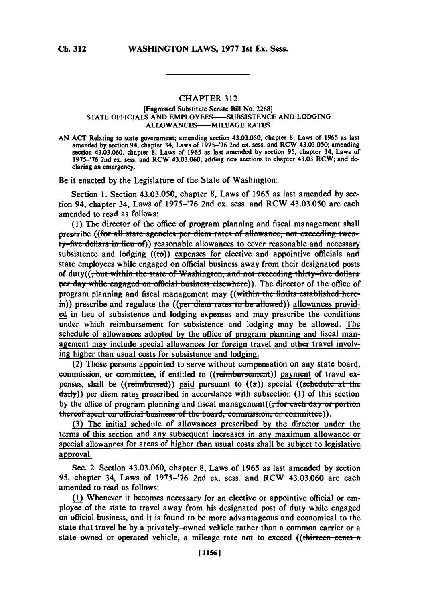## CHAPTER **312**

## [Engrossed Substitute Senate Bill No. **2268] STATE** OFFICIALS **AND EMPLOYEES-SUBSISTENCE AND LODGING** ALLOWANCES---- MILEAGE RATES

**AN ACT** Relating to state government; amending section 43.03.050, chapter **8,** Laws of **1965** as last amended **by** section 94, chapter 34, Laws of **1975-'76** 2nd ex. sess. and RCW 43.03.050; amending section 43.03.060, chapter **8,** Laws of **1965** as last amended **by** section **95,** chapter 34, Laws of 1975-'76 2nd ex. sess. and RCW 43.03.060; adding new sections to chapter 43.03 RCW; and declaring an emergency.

Be it enacted **by** the Legislature of the State of Washington:

Section **1.** Section 43.03.050, chapter **8,** Laws of **1965** as last amended **by** section 94, chapter 34, Laws of **1975-'76** 2nd ex. sess. and RCW 43.03.050 are each amended to read as follows:

**(1)** The director of the office of program planning and fiscal management shall prescribe ((for all state agencies per diem rates of allowance, not exceeding twenty-five dollars in lieu of) reasonable allowances to cover reasonable and necessary subsistence and lodging  $((\text{to}))$  expenses for elective and appointive officials and state employees while engaged on official business away from their designated posts of duty((<del>, but within the state of Washington, and not exceeding thirty-five dollars</del> per day while engaged on official business elsewhere)). The director of the office of program planning and fiscal management may ((within the limits established herein)) prescribe and regulate the ((per diem rates to be allowed)) allowances provided in lieu of subsistence and lodging expenses and may prescribe the conditions under which reimbursement for subsistence and lodging may be allowed. The schedule of allowances adopted **by** the office of program planning and fiscal management may include special allowances for foreign travel and other travel involving higher than usual costs for subsistence and lodging.

(2) Those persons appointed to serve without compensation on any state board, commission, or committee, if entitled to ((reimbursement)) payment of travel expenses, shall be  $((\text{reimburst})$  paid pursuant to  $((a))$  special  $((\text{scheduled})$ daily)) per diem rates prescribed in accordance with subsection **(1)** of this section **by** the office of program planning and fiscal management(( $\frac{1}{2}$  **for each day or portion** thereof spent on official business of the board, commission, or committee)).

**(3)** The initial schedule of allowances prescribed **by** the director under the terms of this section and any subsequent increases in any maximum allowance or special allowances for areas of higher than usual costs shall be subject to legislative approval.

Sec. 2. Section 43.03.060, chapter **8,** Laws of **1965** as last amended **by** section **95,** chapter 34, Laws of **1975-'76** 2nd ex. sess. and RCW 43.03.060 are each amended to read as follows:

(1) Whenever it becomes necessary for an elective or appointive official or employee of the state to travel away from his designated post of duty while engaged on official business, and it is found to be more advantageous and economical to the state that travel be **by** a privately-owned vehicle rather than a common carrier or a state-owned or operated vehicle, a mileage rate not to exceed ((thirteen cents a